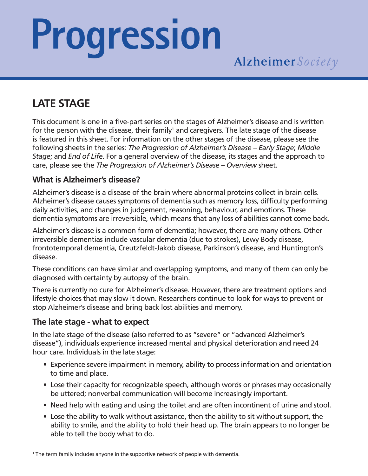# **Progression**

### **LATE STAGE**

This document is one in a five-part series on the stages of Alzheimer's disease and is written for the person with the disease, their family<sup>1</sup> and caregivers. The late stage of the disease is featured in this sheet. For information on the other stages of the disease, please see the following sheets in the series: *The Progression of Alzheimer's Disease – Early Stage*; *Middle Stage*; and *End of Life*. For a general overview of the disease, its stages and the approach to care, please see the *The Progression of Alzheimer's Disease – Overview* sheet.

#### **What is Alzheimer's disease?**

Alzheimer's disease is a disease of the brain where abnormal proteins collect in brain cells. Alzheimer's disease causes symptoms of dementia such as memory loss, difficulty performing daily activities, and changes in judgement, reasoning, behaviour, and emotions. These dementia symptoms are irreversible, which means that any loss of abilities cannot come back.

Alzheimer's disease is a common form of dementia; however, there are many others. Other irreversible dementias include vascular dementia (due to strokes), Lewy Body disease, frontotemporal dementia, Creutzfeldt-Jakob disease, Parkinson's disease, and Huntington's disease.

These conditions can have similar and overlapping symptoms, and many of them can only be diagnosed with certainty by autopsy of the brain.

There is currently no cure for Alzheimer's disease. However, there are treatment options and lifestyle choices that may slow it down. Researchers continue to look for ways to prevent or stop Alzheimer's disease and bring back lost abilities and memory.

#### **The late stage - what to expect**

In the late stage of the disease (also referred to as "severe" or "advanced Alzheimer's disease"), individuals experience increased mental and physical deterioration and need 24 hour care. Individuals in the late stage:

- Experience severe impairment in memory, ability to process information and orientation to time and place.
- Lose their capacity for recognizable speech, although words or phrases may occasionally be uttered; nonverbal communication will become increasingly important.
- Need help with eating and using the toilet and are often incontinent of urine and stool.
- Lose the ability to walk without assistance, then the ability to sit without support, the ability to smile, and the ability to hold their head up. The brain appears to no longer be able to tell the body what to do.

<sup>&</sup>lt;sup>1</sup> The term family includes anyone in the supportive network of people with dementia.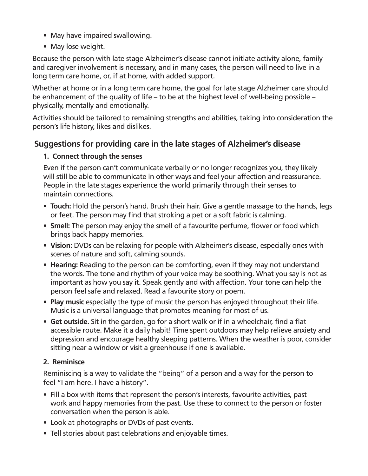- May have impaired swallowing.
- May lose weight.

Because the person with late stage Alzheimer's disease cannot initiate activity alone, family and caregiver involvement is necessary, and in many cases, the person will need to live in a long term care home, or, if at home, with added support.

Whether at home or in a long term care home, the goal for late stage Alzheimer care should be enhancement of the quality of life – to be at the highest level of well-being possible – physically, mentally and emotionally.

Activities should be tailored to remaining strengths and abilities, taking into consideration the person's life history, likes and dislikes.

#### **Suggestions for providing care in the late stages of Alzheimer's disease**

#### **1. Connect through the senses**

Even if the person can't communicate verbally or no longer recognizes you, they likely will still be able to communicate in other ways and feel your affection and reassurance. People in the late stages experience the world primarily through their senses to maintain connections.

- **• Touch:** Hold the person's hand. Brush their hair. Give a gentle massage to the hands, legs or feet. The person may find that stroking a pet or a soft fabric is calming.
- **• Smell:** The person may enjoy the smell of a favourite perfume, flower or food which brings back happy memories.
- **• Vision:** DVDs can be relaxing for people with Alzheimer's disease, especially ones with scenes of nature and soft, calming sounds.
- **• Hearing:** Reading to the person can be comforting, even if they may not understand the words. The tone and rhythm of your voice may be soothing. What you say is not as important as how you say it. Speak gently and with affection. Your tone can help the person feel safe and relaxed. Read a favourite story or poem.
- **• Play music** especially the type of music the person has enjoyed throughout their life. Music is a universal language that promotes meaning for most of us.
- **• Get outside.** Sit in the garden, go for a short walk or if in a wheelchair, find a flat accessible route. Make it a daily habit! Time spent outdoors may help relieve anxiety and depression and encourage healthy sleeping patterns. When the weather is poor, consider sitting near a window or visit a greenhouse if one is available.

#### **2. Reminisce**

Reminiscing is a way to validate the "being" of a person and a way for the person to feel "I am here. I have a history".

- Fill a box with items that represent the person's interests, favourite activities, past work and happy memories from the past. Use these to connect to the person or foster conversation when the person is able.
- Look at photographs or DVDs of past events.
- Tell stories about past celebrations and enjoyable times.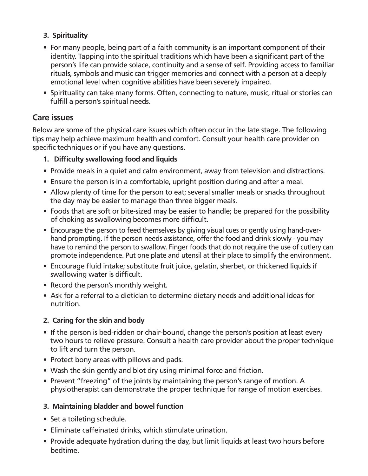#### **3. Spirituality**

- For many people, being part of a faith community is an important component of their identity. Tapping into the spiritual traditions which have been a significant part of the person's life can provide solace, continuity and a sense of self. Providing access to familiar rituals, symbols and music can trigger memories and connect with a person at a deeply emotional level when cognitive abilities have been severely impaired.
- Spirituality can take many forms. Often, connecting to nature, music, ritual or stories can fulfill a person's spiritual needs.

#### **Care issues**

Below are some of the physical care issues which often occur in the late stage. The following tips may help achieve maximum health and comfort. Consult your health care provider on specific techniques or if you have any questions.

#### **1. Difficulty swallowing food and liquids**

- Provide meals in a quiet and calm environment, away from television and distractions.
- Ensure the person is in a comfortable, upright position during and after a meal.
- Allow plenty of time for the person to eat; several smaller meals or snacks throughout the day may be easier to manage than three bigger meals.
- Foods that are soft or bite-sized may be easier to handle; be prepared for the possibility of choking as swallowing becomes more difficult.
- Encourage the person to feed themselves by giving visual cues or gently using hand-overhand prompting. If the person needs assistance, offer the food and drink slowly - you may have to remind the person to swallow. Finger foods that do not require the use of cutlery can promote independence. Put one plate and utensil at their place to simplify the environment.
- Encourage fluid intake; substitute fruit juice, gelatin, sherbet, or thickened liquids if swallowing water is difficult.
- Record the person's monthly weight.
- Ask for a referral to a dietician to determine dietary needs and additional ideas for nutrition.

#### **2. Caring for the skin and body**

- If the person is bed-ridden or chair-bound, change the person's position at least every two hours to relieve pressure. Consult a health care provider about the proper technique to lift and turn the person.
- Protect bony areas with pillows and pads.
- Wash the skin gently and blot dry using minimal force and friction.
- Prevent "freezing" of the joints by maintaining the person's range of motion. A physiotherapist can demonstrate the proper technique for range of motion exercises.

#### **3. Maintaining bladder and bowel function**

- Set a toileting schedule.
- Eliminate caffeinated drinks, which stimulate urination.
- Provide adequate hydration during the day, but limit liquids at least two hours before bedtime.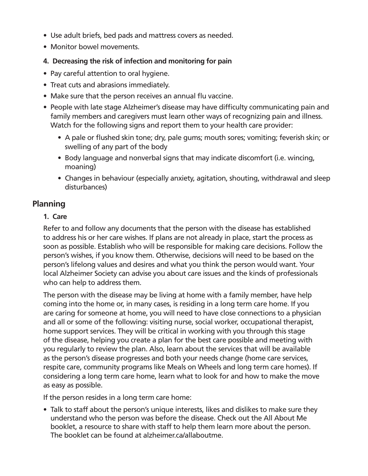- Use adult briefs, bed pads and mattress covers as needed.
- Monitor bowel movements.

#### **4. Decreasing the risk of infection and monitoring for pain**

- Pay careful attention to oral hygiene.
- Treat cuts and abrasions immediately.
- Make sure that the person receives an annual flu vaccine.
- People with late stage Alzheimer's disease may have difficulty communicating pain and family members and caregivers must learn other ways of recognizing pain and illness. Watch for the following signs and report them to your health care provider:
	- A pale or flushed skin tone; dry, pale gums; mouth sores; vomiting; feverish skin; or swelling of any part of the body
	- Body language and nonverbal signs that may indicate discomfort (i.e. wincing, moaning)
	- Changes in behaviour (especially anxiety, agitation, shouting, withdrawal and sleep disturbances)

#### **Planning**

#### **1. Care**

Refer to and follow any documents that the person with the disease has established to address his or her care wishes. If plans are not already in place, start the process as soon as possible. Establish who will be responsible for making care decisions. Follow the person's wishes, if you know them. Otherwise, decisions will need to be based on the person's lifelong values and desires and what you think the person would want. Your local Alzheimer Society can advise you about care issues and the kinds of professionals who can help to address them.

The person with the disease may be living at home with a family member, have help coming into the home or, in many cases, is residing in a long term care home. If you are caring for someone at home, you will need to have close connections to a physician and all or some of the following: visiting nurse, social worker, occupational therapist, home support services. They will be critical in working with you through this stage of the disease, helping you create a plan for the best care possible and meeting with you regularly to review the plan. Also, learn about the services that will be available as the person's disease progresses and both your needs change (home care services, respite care, community programs like Meals on Wheels and long term care homes). If considering a long term care home, learn what to look for and how to make the move as easy as possible.

If the person resides in a long term care home:

• Talk to staff about the person's unique interests, likes and dislikes to make sure they understand who the person was before the disease. Check out the All About Me booklet, a resource to share with staff to help them learn more about the person. The booklet can be found at alzheimer.ca/allaboutme.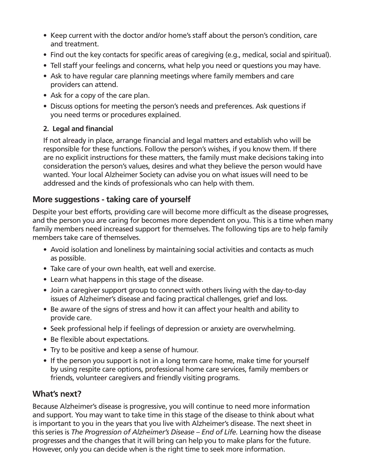- Keep current with the doctor and/or home's staff about the person's condition, care and treatment.
- Find out the key contacts for specific areas of caregiving (e.g., medical, social and spiritual).
- Tell staff your feelings and concerns, what help you need or questions you may have.
- Ask to have regular care planning meetings where family members and care providers can attend.
- Ask for a copy of the care plan.
- Discuss options for meeting the person's needs and preferences. Ask questions if you need terms or procedures explained.

#### **2. Legal and financial**

If not already in place, arrange financial and legal matters and establish who will be responsible for these functions. Follow the person's wishes, if you know them. If there are no explicit instructions for these matters, the family must make decisions taking into consideration the person's values, desires and what they believe the person would have wanted. Your local Alzheimer Society can advise you on what issues will need to be addressed and the kinds of professionals who can help with them.

#### **More suggestions - taking care of yourself**

Despite your best efforts, providing care will become more difficult as the disease progresses, and the person you are caring for becomes more dependent on you. This is a time when many family members need increased support for themselves. The following tips are to help family members take care of themselves.

- Avoid isolation and loneliness by maintaining social activities and contacts as much as possible.
- Take care of your own health, eat well and exercise.
- Learn what happens in this stage of the disease.
- Join a caregiver support group to connect with others living with the day-to-day issues of Alzheimer's disease and facing practical challenges, grief and loss.
- Be aware of the signs of stress and how it can affect your health and ability to provide care.
- Seek professional help if feelings of depression or anxiety are overwhelming.
- Be flexible about expectations.
- Try to be positive and keep a sense of humour.
- If the person you support is not in a long term care home, make time for yourself by using respite care options, professional home care services, family members or friends, volunteer caregivers and friendly visiting programs.

#### **What's next?**

Because Alzheimer's disease is progressive, you will continue to need more information and support. You may want to take time in this stage of the disease to think about what is important to you in the years that you live with Alzheimer's disease. The next sheet in this series is *The Progression of Alzheimer's Disease – End of Life.* Learning how the disease progresses and the changes that it will bring can help you to make plans for the future. However, only you can decide when is the right time to seek more information.